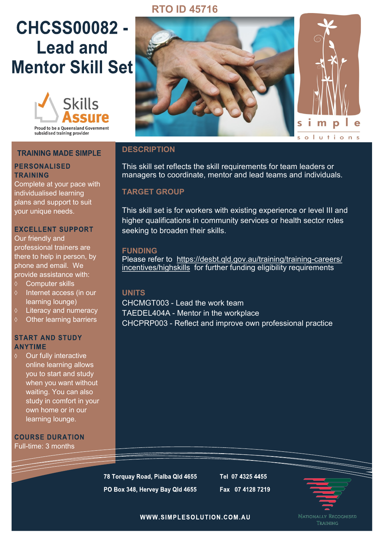# **RTO ID 45716**

# **CHCSS00082 -Lead and Mentor Skill Set**



subsidised training provider

#### **TRAINING MADE SIMPLE**

#### **PERSONALISED TRAINING**

Complete at your pace with individualised learning plans and support to suit your unique needs.

#### **EXCELLENT SUPPORT**

Our friendly and professional trainers are there to help in person, by phone and email. We provide assistance with:

- Computer skills
- $\Diamond$  Internet access (in our learning lounge)
- Literacy and numeracy
- $\diamond$  Other learning barriers

#### **START AND STUDY ANYTIME**

Our fully interactive online learning allows you to start and study when you want without waiting. You can also study in comfort in your own home or in our learning lounge.

**COURSE DURATION** Full-time: 3 months



### **DESCRIPTION**

This skill set reflects the skill requirements for team leaders or managers to coordinate, mentor and lead teams and individuals.

## **TARGET GROUP**

This skill set is for workers with existing experience or level III and higher qualifications in community services or health sector roles seeking to broaden their skills.

#### **FUNDING**

Please refer to [https://desbt.qld.gov.au/training/training](https://desbt.qld.gov.au/training/training-careers/incentives/highskills)-careers/ [incentives/highskills](https://desbt.qld.gov.au/training/training-careers/incentives/highskills) for further funding eligibility requirements

## **UNITS**

CHCMGT003 - Lead the work team TAEDEL404A - Mentor in the workplace CHCPRP003 - Reflect and improve own professional practice

78 Torquay Road, Pialba Qld 4655 PO Box 348, Hervey Bay Qld 4655 Tel 07 4325 4455 Fax 07 4128 7219



WWW.SIMPLESOLUTION.COM.AU